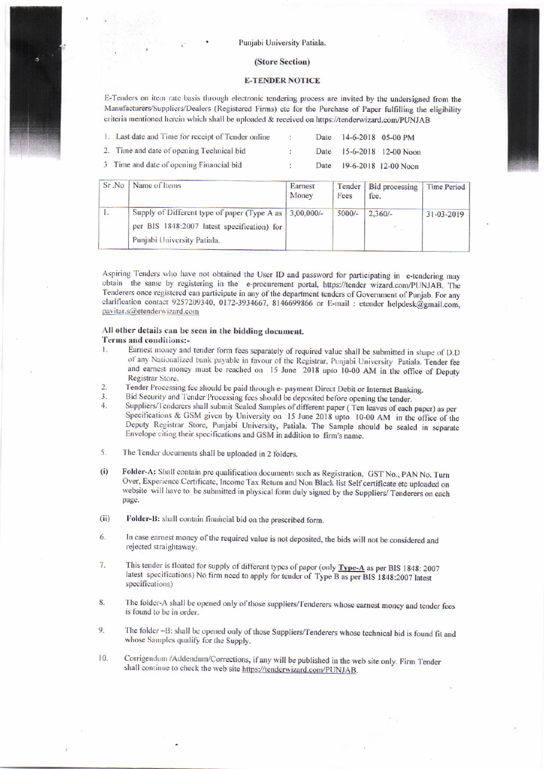#### Punjabi University Patiala.

#### (Store Section)

#### **E-TENDER NOTICE**

E-Tenders on item rate basis through electronic tendering process are invited by the undersigned from the Manufacturers/Suppliers/Dealers (Registered Firms) etc for the Purchase of Paper fulfilling the eligibility criteria mentioned herein which shall be uploaded & received on https://tenderwizard.com/PUNJAB

| 1. Last date and Time for receipt of Tender online | $\sim$    | Date | 14-6-2018 05-00 PM |                           |
|----------------------------------------------------|-----------|------|--------------------|---------------------------|
| 2. Time and date of opening Technical bid          |           |      |                    | Date 15-6-2018 12-00 Noon |
| 3 Time and date of opening Financial bid           | $\bullet$ |      |                    | Date 19-6-2018 12-00 Noon |

| $Sr$ . No | Name of Items                                                                                                                           | Earnest<br>Money | Fees     | Tender   Bid processing<br>fee. | <b>Time Period</b> |
|-----------|-----------------------------------------------------------------------------------------------------------------------------------------|------------------|----------|---------------------------------|--------------------|
| ι.        | Supply of Different type of paper (Type A as   3,00,000/-<br>per BIS 1848:2007 latest specification) for<br>Punjabi University Patiala. |                  | $5000/-$ | $2,360/-$                       | $31 - 03 - 2019$   |

Aspiring Tenders who have not obtained the User ID and password for participating in e-tendering may obtain the same by registering in the e-procurement portal, https://tender wizard.com/PUNJAB. The Tenderers once registered can participate in any of the department tenders of Government of Punjab. For any clarification contact 9257209340, 0172-3934667, 8146699866 or E-mail: etender helpdesk@gmail.com, pavitar.s@etenderwizard.com

#### All other details can be seen in the bidding document.

### Terms and conditions:-

- Earnest money and tender form fees separately of required value shall be submitted in shape of D.D  $\mathbf{I}$ . of any Nationalized bank payable in favour of the Registrar, Punjabi University Patiala. Tender fee and earnest money must be reached on 15 June 2018 upto 10-00 AM in the office of Deputy Registrar Store.
- Tender Processing fee should be paid through e- payment Direct Debit or Internet Banking.  $\overline{2}$ .
- $\overline{3}$ Bid Security and Tender Processing fees should be deposited before opening the tender.

Suppliers/Tenderers shall submit Sealed Samples of different paper (Ten leaves of each paper) as per  $\overline{4}$ Specifications & GSM given by University on 15 June 2018 upto 10-00 AM in the office of the Deputy Registrar Store, Punjabi University, Patiala. The Sample should be sealed in separate Envelope citing their specifications and GSM in addition to firm's name.

- 5. The Tender documents shall be uploaded in 2 folders.
- Folder-A: Shall contain pre qualification documents such as Registration, GST No., PAN No. Turn  $(i)$ Over, Experience Certificate, Income Tax Return and Non Black list Self certificate etc uploaded on website will have to be submitted in physical form duly signed by the Suppliers/ Tenderers on each page.
- Folder-B: shall contain financial bid on the prescribed form.  $(ii)$
- 6. In case earnest money of the required value is not deposited, the bids will not be considered and rejected straightaway.
- 7. This tender is floated for supply of different types of paper (only Type-A as per BIS 1848: 2007 latest specifications) No firm need to apply for tender of Type B as per BIS 1848:2007 latest specifications)
- 8. The folder-A shall be opened only of those suppliers/Tenderers whose earnest money and tender fees is found to be in order.
- 9. The folder -B: shall be opened only of those Suppliers/Tenderers whose technical bid is found fit and whose Samples qualify for the Supply.
- Corrigendum /Addendum/Corrections, if any will be published in the web site only. Firm Tender 10. shall continue to check the web site https://tenderwizard.com/PUNJAB.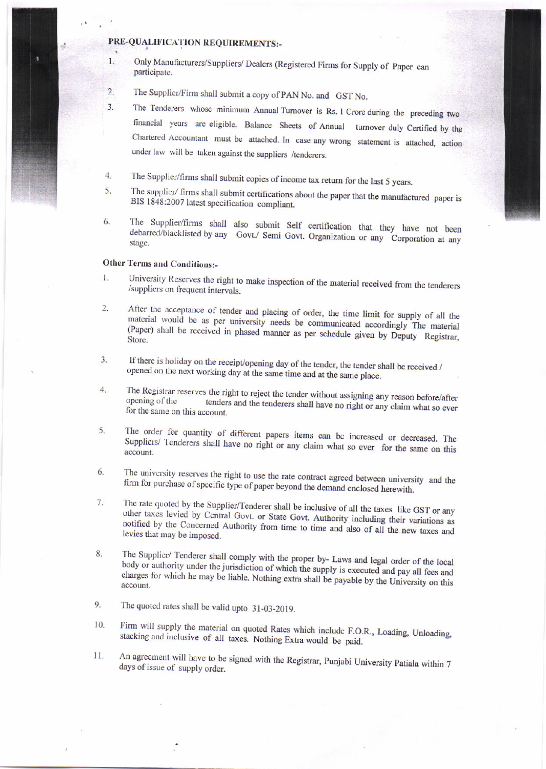# PRE-QUALIFICATION REQUIREMENTS:-

 $1.$ 

 $3.$ 

Only Manufacturers/Suppliers/ Dealers (Registered Firms for Supply of Paper can participate.

The Supplier/Firm shall submit a copy of PAN No. and GST No.  $2.$ 

The Tenderers whose minimum Annual Turnover is Rs. 1 Crore during the preceding two financial years are eligible. Balance Sheets of Annual turnover duly Certified by the Chartered Accountant must be attached. In case any wrong statement is attached, action under law will be taken against the suppliers /tenderers.

- The Supplier/firms shall submit copies of income tax return for the last 5 years.  $4.$
- The supplier/ firms shall submit certifications about the paper that the manufactured paper is 5. BIS 1848:2007 latest specification compliant.
- The Supplier/firms shall also submit Self certification that they have not been 6. debarred/blacklisted by any Govt./ Semi Govt. Organization or any Corporation at any stage.

## **Other Terms and Conditions:-**

- $\mathbf{1}$ University Reserves the right to make inspection of the material received from the tenderers /suppliers on frequent intervals.
- After the acceptance of tender and placing of order, the time limit for supply of all the  $2.$ material would be as per university needs be communicated accordingly The material (Paper) shall be received in phased manner as per schedule given by Deputy Registrar, Store.
- If there is holiday on the receipt/opening day of the tender, the tender shall be received /  $3.$ opened on the next working day at the same time and at the same place.
- The Registrar reserves the right to reject the tender without assigning any reason before/after  $4.$ opening of the tenders and the tenderers shall have no right or any claim what so ever for the same on this account.
- The order for quantity of different papers items can be increased or decreased. The 5. Suppliers/ Tenderers shall have no right or any claim what so ever for the same on this account.
- The university reserves the right to use the rate contract agreed between university and the 6. firm for purchase of specific type of paper beyond the demand enclosed herewith.
- 7. The rate quoted by the Supplier/Tenderer shall be inclusive of all the taxes like GST or any other taxes levied by Central Govt. or State Govt. Authority including their variations as notified by the Concerned Authority from time to time and also of all the new taxes and levies that may be imposed.
- The Supplier/ Tenderer shall comply with the proper by- Laws and legal order of the local 8. body or authority under the jurisdiction of which the supply is executed and pay all fees and charges for which he may be liable. Nothing extra shall be payable by the University on this account.
- 9. The quoted rates shall be valid upto 31-03-2019.
- Firm will supply the material on quoted Rates which include F.O.R., Loading, Unloading, 10. stacking and inclusive of all taxes. Nothing Extra would be paid.
- An agreement will have to be signed with the Registrar, Punjabi University Patiala within 7 11. days of issue of supply order.